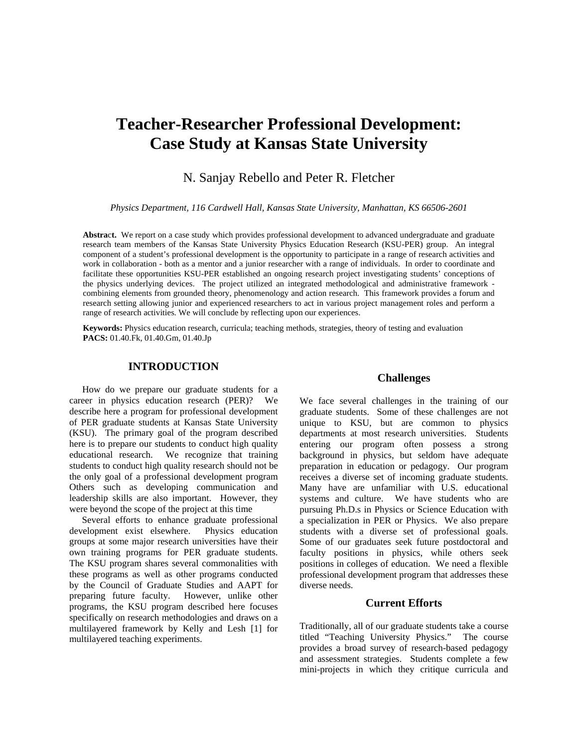# **Teacher-Researcher Professional Development: Case Study at Kansas State University**

# N. Sanjay Rebello and Peter R. Fletcher

*Physics Department, 116 Cardwell Hall, Kansas State University, Manhattan, KS 66506-2601* 

**Abstra**c**t.** We report on a case study which provides professional development to advanced undergraduate and graduate research team members of the Kansas State University Physics Education Research (KSU-PER) group. An integral component of a student's professional development is the opportunity to participate in a range of research activities and work in collaboration - both as a mentor and a junior researcher with a range of individuals. In order to coordinate and facilitate these opportunities KSU-PER established an ongoing research project investigating students' conceptions of the physics underlying devices. The project utilized an integrated methodological and administrative framework combining elements from grounded theory, phenomenology and action research. This framework provides a forum and research setting allowing junior and experienced researchers to act in various project management roles and perform a range of research activities. We will conclude by reflecting upon our experiences.

**Keywords:** Physics education research, curricula; teaching methods, strategies, theory of testing and evaluation **PACS:** 01.40.Fk, 01.40.Gm, 01.40.Jp

#### **INTRODUCTION**

How do we prepare our graduate students for a career in physics education research (PER)? We describe here a program for professional development of PER graduate students at Kansas State University (KSU). The primary goal of the program described here is to prepare our students to conduct high quality educational research. We recognize that training students to conduct high quality research should not be the only goal of a professional development program Others such as developing communication and leadership skills are also important. However, they were beyond the scope of the project at this time

Several efforts to enhance graduate professional development exist elsewhere. Physics education groups at some major research universities have their own training programs for PER graduate students. The KSU program shares several commonalities with these programs as well as other programs conducted by the Council of Graduate Studies and AAPT for preparing future faculty. However, unlike other programs, the KSU program described here focuses specifically on research methodologies and draws on a multilayered framework by Kelly and Lesh [1] for multilayered teaching experiments.

# **Challenges**

We face several challenges in the training of our graduate students. Some of these challenges are not unique to KSU, but are common to physics departments at most research universities. Students entering our program often possess a strong background in physics, but seldom have adequate preparation in education or pedagogy. Our program receives a diverse set of incoming graduate students. Many have are unfamiliar with U.S. educational systems and culture. We have students who are pursuing Ph.D.s in Physics or Science Education with a specialization in PER or Physics. We also prepare students with a diverse set of professional goals. Some of our graduates seek future postdoctoral and faculty positions in physics, while others seek positions in colleges of education. We need a flexible professional development program that addresses these diverse needs.

# **Current Efforts**

Traditionally, all of our graduate students take a course titled "Teaching University Physics." The course provides a broad survey of research-based pedagogy and assessment strategies. Students complete a few mini-projects in which they critique curricula and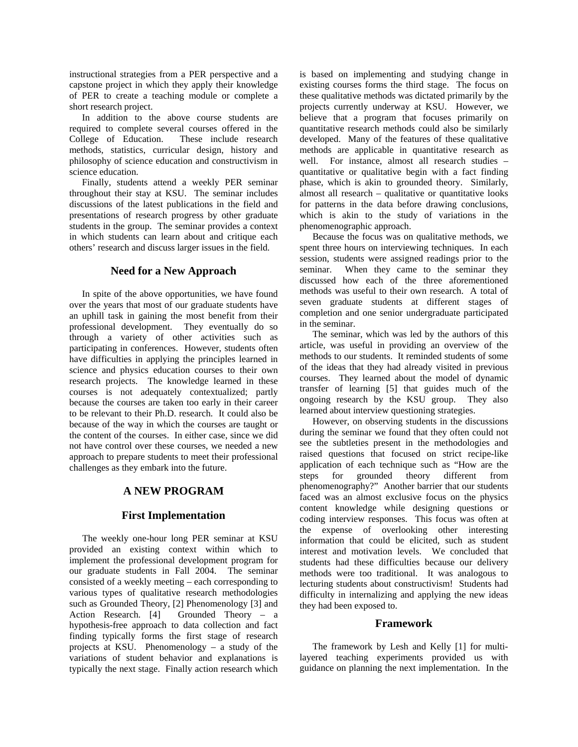instructional strategies from a PER perspective and a capstone project in which they apply their knowledge of PER to create a teaching module or complete a short research project.

In addition to the above course students are required to complete several courses offered in the College of Education. These include research methods, statistics, curricular design, history and philosophy of science education and constructivism in science education.

Finally, students attend a weekly PER seminar throughout their stay at KSU. The seminar includes discussions of the latest publications in the field and presentations of research progress by other graduate students in the group. The seminar provides a context in which students can learn about and critique each others' research and discuss larger issues in the field.

#### **Need for a New Approach**

In spite of the above opportunities, we have found over the years that most of our graduate students have an uphill task in gaining the most benefit from their professional development. They eventually do so through a variety of other activities such as participating in conferences. However, students often have difficulties in applying the principles learned in science and physics education courses to their own research projects. The knowledge learned in these courses is not adequately contextualized; partly because the courses are taken too early in their career to be relevant to their Ph.D. research. It could also be because of the way in which the courses are taught or the content of the courses. In either case, since we did not have control over these courses, we needed a new approach to prepare students to meet their professional challenges as they embark into the future.

#### **A NEW PROGRAM**

#### **First Implementation**

The weekly one-hour long PER seminar at KSU provided an existing context within which to implement the professional development program for our graduate students in Fall 2004. The seminar consisted of a weekly meeting – each corresponding to various types of qualitative research methodologies such as Grounded Theory, [2] Phenomenology [3] and<br>Action Research. [4] Grounded Theory – a Grounded Theory –  $a$ hypothesis-free approach to data collection and fact finding typically forms the first stage of research projects at KSU. Phenomenology – a study of the variations of student behavior and explanations is typically the next stage. Finally action research which

is based on implementing and studying change in existing courses forms the third stage. The focus on these qualitative methods was dictated primarily by the projects currently underway at KSU. However, we believe that a program that focuses primarily on quantitative research methods could also be similarly developed. Many of the features of these qualitative methods are applicable in quantitative research as well. For instance, almost all research studies – quantitative or qualitative begin with a fact finding phase, which is akin to grounded theory. Similarly, almost all research – qualitative or quantitative looks for patterns in the data before drawing conclusions, which is akin to the study of variations in the phenomenographic approach.

Because the focus was on qualitative methods, we spent three hours on interviewing techniques. In each session, students were assigned readings prior to the seminar. When they came to the seminar they discussed how each of the three aforementioned methods was useful to their own research. A total of seven graduate students at different stages of completion and one senior undergraduate participated in the seminar.

The seminar, which was led by the authors of this article, was useful in providing an overview of the methods to our students. It reminded students of some of the ideas that they had already visited in previous courses. They learned about the model of dynamic transfer of learning [5] that guides much of the ongoing research by the KSU group. They also learned about interview questioning strategies.

However, on observing students in the discussions during the seminar we found that they often could not see the subtleties present in the methodologies and raised questions that focused on strict recipe-like application of each technique such as "How are the steps for grounded theory different from phenomenography?" Another barrier that our students faced was an almost exclusive focus on the physics content knowledge while designing questions or coding interview responses. This focus was often at the expense of overlooking other interesting information that could be elicited, such as student interest and motivation levels. We concluded that students had these difficulties because our delivery methods were too traditional. It was analogous to lecturing students about constructivism! Students had difficulty in internalizing and applying the new ideas they had been exposed to.

#### **Framework**

The framework by Lesh and Kelly [1] for multilayered teaching experiments provided us with guidance on planning the next implementation. In the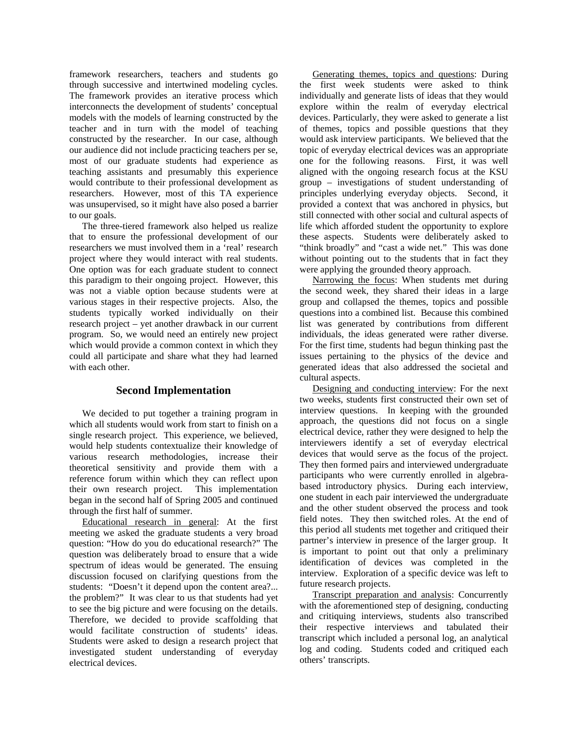framework researchers, teachers and students go through successive and intertwined modeling cycles. The framework provides an iterative process which interconnects the development of students' conceptual models with the models of learning constructed by the teacher and in turn with the model of teaching constructed by the researcher. In our case, although our audience did not include practicing teachers per se, most of our graduate students had experience as teaching assistants and presumably this experience would contribute to their professional development as researchers. However, most of this TA experience was unsupervised, so it might have also posed a barrier to our goals.

The three-tiered framework also helped us realize that to ensure the professional development of our researchers we must involved them in a 'real' research project where they would interact with real students. One option was for each graduate student to connect this paradigm to their ongoing project. However, this was not a viable option because students were at various stages in their respective projects. Also, the students typically worked individually on their research project – yet another drawback in our current program. So, we would need an entirely new project which would provide a common context in which they could all participate and share what they had learned with each other.

# **Second Implementation**

We decided to put together a training program in which all students would work from start to finish on a single research project. This experience, we believed, would help students contextualize their knowledge of various research methodologies, increase their theoretical sensitivity and provide them with a reference forum within which they can reflect upon their own research project. This implementation began in the second half of Spring 2005 and continued through the first half of summer.

Educational research in general: At the first meeting we asked the graduate students a very broad question: "How do you do educational research?" The question was deliberately broad to ensure that a wide spectrum of ideas would be generated. The ensuing discussion focused on clarifying questions from the students: "Doesn't it depend upon the content area?... the problem?" It was clear to us that students had yet to see the big picture and were focusing on the details. Therefore, we decided to provide scaffolding that would facilitate construction of students' ideas. Students were asked to design a research project that investigated student understanding of everyday electrical devices.

Generating themes, topics and questions: During the first week students were asked to think individually and generate lists of ideas that they would explore within the realm of everyday electrical devices. Particularly, they were asked to generate a list of themes, topics and possible questions that they would ask interview participants. We believed that the topic of everyday electrical devices was an appropriate one for the following reasons. First, it was well aligned with the ongoing research focus at the KSU group – investigations of student understanding of principles underlying everyday objects. Second, it provided a context that was anchored in physics, but still connected with other social and cultural aspects of life which afforded student the opportunity to explore these aspects. Students were deliberately asked to "think broadly" and "cast a wide net." This was done without pointing out to the students that in fact they were applying the grounded theory approach.

Narrowing the focus: When students met during the second week, they shared their ideas in a large group and collapsed the themes, topics and possible questions into a combined list. Because this combined list was generated by contributions from different individuals, the ideas generated were rather diverse. For the first time, students had begun thinking past the issues pertaining to the physics of the device and generated ideas that also addressed the societal and cultural aspects.

Designing and conducting interview: For the next two weeks, students first constructed their own set of interview questions. In keeping with the grounded approach, the questions did not focus on a single electrical device, rather they were designed to help the interviewers identify a set of everyday electrical devices that would serve as the focus of the project. They then formed pairs and interviewed undergraduate participants who were currently enrolled in algebrabased introductory physics. During each interview, one student in each pair interviewed the undergraduate and the other student observed the process and took field notes. They then switched roles. At the end of this period all students met together and critiqued their partner's interview in presence of the larger group. It is important to point out that only a preliminary identification of devices was completed in the interview. Exploration of a specific device was left to future research projects.

Transcript preparation and analysis: Concurrently with the aforementioned step of designing, conducting and critiquing interviews, students also transcribed their respective interviews and tabulated their transcript which included a personal log, an analytical log and coding. Students coded and critiqued each others' transcripts.